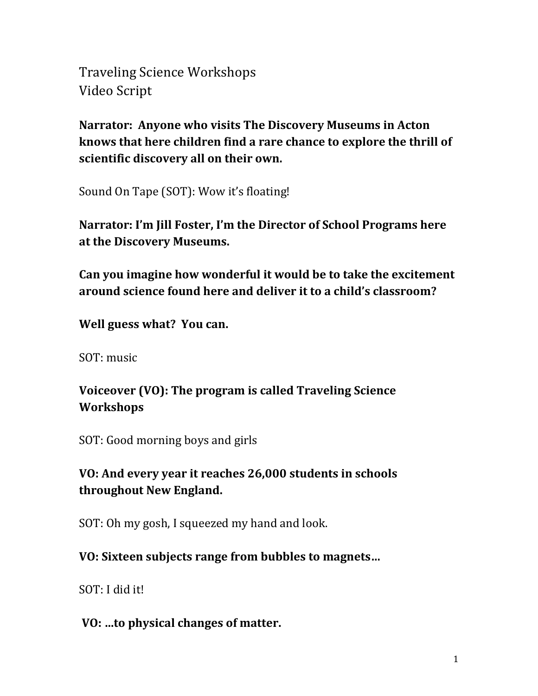Traveling Science Workshops Video Script

**Narrator: Anyone who visits The Discovery Museums in Acton knows that here children find a rare chance to explore the thrill of scientific discovery all on their own.**

Sound On Tape (SOT): Wow it's floating!

**Narrator: I'm Jill Foster, I'm the Director of School Programs here at the Discovery Museums.**

**Can you imagine how wonderful it would be to take the excitement around science found here and deliver it to a child's classroom?**

**Well guess what? You can.**

SOT: music

# **Voiceover (VO): The program is called Traveling Science Workshops**

SOT: Good morning boys and girls

## **VO: And every year it reaches 26,000 students in schools throughout New England.**

SOT: Oh my gosh, I squeezed my hand and look.

## **VO: Sixteen subjects range from bubbles to magnets…**

SOT: I did it!

#### **VO: …to physical changes of matter.**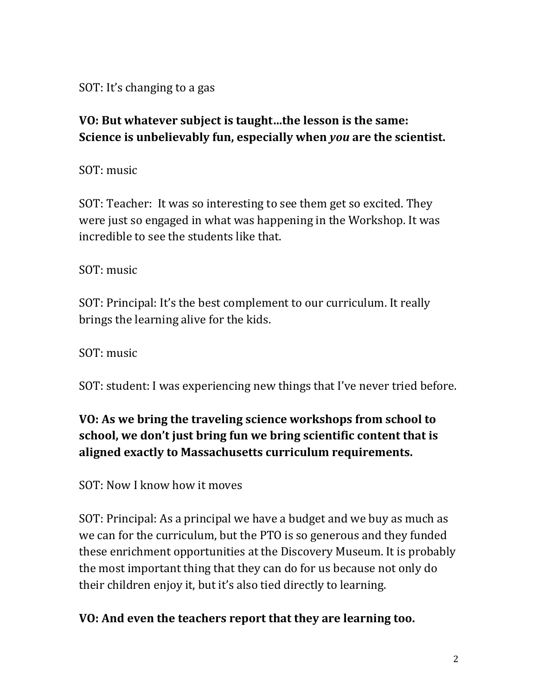SOT: It's changing to a gas

## **VO: But whatever subject is taught…the lesson is the same: Science is unbelievably fun, especially when** *you* **are the scientist.**

SOT: music

SOT: Teacher: It was so interesting to see them get so excited. They were just so engaged in what was happening in the Workshop. It was incredible to see the students like that.

SOT: music

SOT: Principal: It's the best complement to our curriculum. It really brings the learning alive for the kids.

SOT: music

SOT: student: I was experiencing new things that I've never tried before.

# **VO: As we bring the traveling science workshops from school to school, we don't just bring fun we bring scientific content that is aligned exactly to Massachusetts curriculum requirements.**

SOT: Now I know how it moves

SOT: Principal: As a principal we have a budget and we buy as much as we can for the curriculum, but the PTO is so generous and they funded these enrichment opportunities at the Discovery Museum. It is probably the most important thing that they can do for us because not only do their children enjoy it, but it's also tied directly to learning.

## **VO: And even the teachers report that they are learning too.**